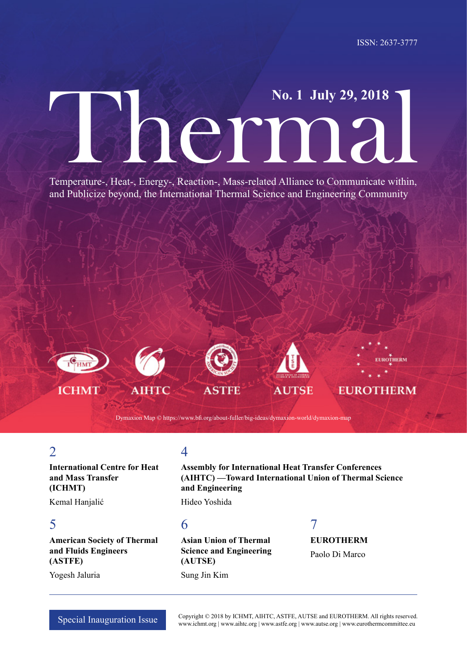# Thermal **No. 1 July 29, 2018**

Temperature-, Heat-, Energy-, Reaction-, Mass-related Alliance to Communicate within, and Publicize beyond, the International Thermal Science and Engineering Community











Dymaxion Map © https://www.bfi.org/about-fuller/big-ideas/dymaxion-world/dymaxion-map

# $\overline{\mathcal{L}}$

**International Centre for Heat and Mass Transfer (ICHMT)**

Kemal Hanjalić

## 5

**American Society of Thermal and Fluids Engineers (ASTFE)**

Yogesh Jaluria

# 4

**Assembly for International Heat Transfer Conferences (AIHTC) —Toward International Union of Thermal Science and Engineering**

Hideo Yoshida

# 6

**Asian Union of Thermal Science and Engineering (AUTSE)** Sung Jin Kim

# 7 **EUROTHERM**

Paolo Di Marco

Special Inauguration Issue Copyright © 2018 by ICHMT, AIHTC, ASTFE, AUTSE and EUROTHERM. All rights reserved. www.ichmt.org | www.aihtc.org | www.astfe.org | www.autse.org | www.eurothermcommittee.eu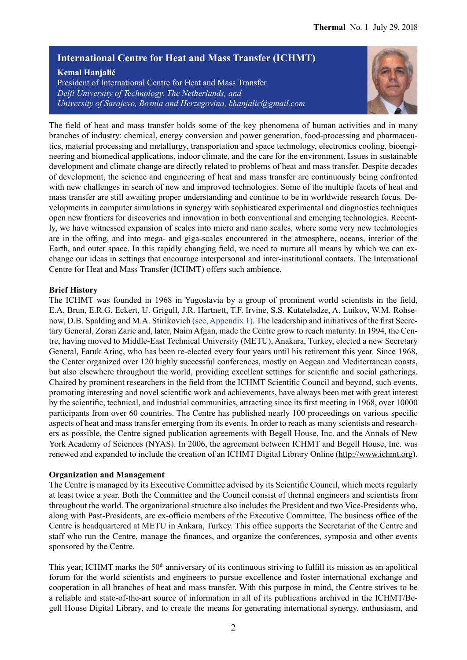#### **International Centre for Heat and Mass Transfer (ICHMT)**

**Kemal Hanjalić**

President of International Centre for Heat and Mass Transfer *Delft University of Technology, The Netherlands, and University of Sarajevo, Bosnia and Herzegovina, khanjalic@gmail.com*



The field of heat and mass transfer holds some of the key phenomena of human activities and in many branches of industry: chemical, energy conversion and power generation, food-processing and pharmaceutics, material processing and metallurgy, transportation and space technology, electronics cooling, bioengineering and biomedical applications, indoor climate, and the care for the environment. Issues in sustainable development and climate change are directly related to problems of heat and mass transfer. Despite decades of development, the science and engineering of heat and mass transfer are continuously being confronted with new challenges in search of new and improved technologies. Some of the multiple facets of heat and mass transfer are still awaiting proper understanding and continue to be in worldwide research focus. Developments in computer simulations in synergy with sophisticated experimental and diagnostics techniques open new frontiers for discoveries and innovation in both conventional and emerging technologies. Recently, we have witnessed expansion of scales into micro and nano scales, where some very new technologies are in the offing, and into mega- and giga-scales encountered in the atmosphere, oceans, interior of the Earth, and outer space. In this rapidly changing field, we need to nurture all means by which we can exchange our ideas in settings that encourage interpersonal and inter-institutional contacts. The International Centre for Heat and Mass Transfer (ICHMT) offers such ambience.

#### **Brief History**

The ICHMT was founded in 1968 in Yugoslavia by a group of prominent world scientists in the field, E.A, Brun, E.R.G. Eckert, U. Grigull, J.R. Hartnett, T.F. Irvine, S.S. Kutateladze, A. Luikov, W.M. Rohsenow, D.B. Spalding and M.A. Stirikovich (see, Appendix 1). The leadership and initiatives of the first Secretary General, Zoran Zaric and, later, Naim Afgan, made the Centre grow to reach maturity. In 1994, the Centre, having moved to Middle-East Technical University (METU), Anakara, Turkey, elected a new Secretary General, Faruk Arinç, who has been re-elected every four years until his retirement this year. Since 1968, the Center organized over 120 highly successful conferences, mostly on Aegean and Mediterranean coasts, but also elsewhere throughout the world, providing excellent settings for scientific and social gatherings. Chaired by prominent researchers in the field from the ICHMT Scientific Council and beyond, such events, promoting interesting and novel scientific work and achievements, have always been met with great interest by the scientific, technical, and industrial communities, attracting since its first meeting in 1968, over 10000 participants from over 60 countries. The Centre has published nearly 100 proceedings on various specific aspects of heat and mass transfer emerging from its events. In order to reach as many scientists and researchers as possible, the Centre signed publication agreements with Begell House, Inc. and the Annals of New York Academy of Sciences (NYAS). In 2006, the agreement between ICHMT and Begell House, Inc. was renewed and expanded to include the creation of an ICHMT Digital Library Online (http://www.ichmt.org).

#### **Organization and Management**

The Centre is managed by its Executive Committee advised by its Scientific Council, which meets regularly at least twice a year. Both the Committee and the Council consist of thermal engineers and scientists from throughout the world. The organizational structure also includes the President and two Vice-Presidents who, along with Past-Presidents, are ex-officio members of the Executive Committee. The business office of the Centre is headquartered at METU in Ankara, Turkey. This office supports the Secretariat of the Centre and staff who run the Centre, manage the finances, and organize the conferences, symposia and other events sponsored by the Centre.

This year, ICHMT marks the 50<sup>th</sup> anniversary of its continuous striving to fulfill its mission as an apolitical forum for the world scientists and engineers to pursue excellence and foster international exchange and cooperation in all branches of heat and mass transfer. With this purpose in mind, the Centre strives to be a reliable and state-of-the-art source of information in all of its publications archived in the ICHMT/Begell House Digital Library, and to create the means for generating international synergy, enthusiasm, and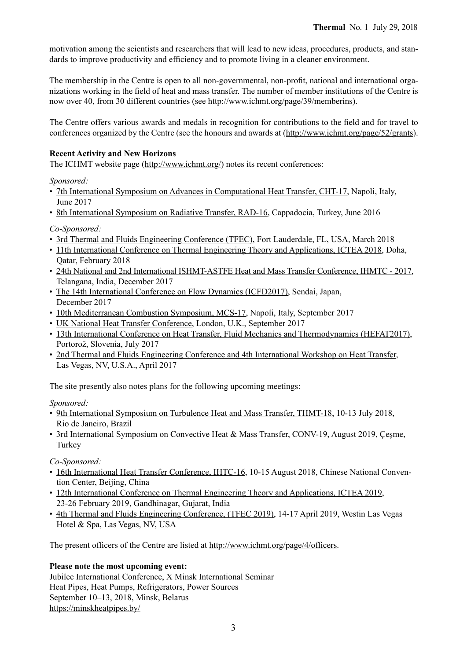motivation among the scientists and researchers that will lead to new ideas, procedures, products, and standards to improve productivity and efficiency and to promote living in a cleaner environment.

The membership in the Centre is open to all non-governmental, non-profit, national and international organizations working in the field of heat and mass transfer. The number of member institutions of the Centre is now over 40, from 30 different countries (see http://www.ichmt.org/page/39/memberins).

The Centre offers various awards and medals in recognition for contributions to the field and for travel to conferences organized by the Centre (see the honours and awards at (http://www.ichmt.org/page/52/grants).

#### **Recent Activity and New Horizons**

The ICHMT website page (http://www.ichmt.org/) notes its recent conferences:

*Sponsored:*

- [7th International Symposium on Advances in Computational Heat Transfer, CHT-17](http://www.ichmt.org/site/4/cht-17), Napoli, Italy, June 2017
- [8th International Symposium on Radiative Transfer, RAD-16](http://www.ichmt.org/site/1/rad-16), Cappadocia, Turkey, June 2016

*Co-Sponsored:*

- [3rd Thermal and Fluids Engineering Conference \(TFEC\)](http://www.astfe.org/tfec2018/), Fort Lauderdale, FL, USA, March 2018
- [11th International Conference on Thermal Engineering Theory and Applications, ICTEA 2018](https://www.ictea.ca/), Doha, Qatar, February 2018
- [24th National and 2nd International ISHMT-ASTFE Heat and Mass Transfer Conference, IHMTC 2017](https://www.ishmt2017.com/), Telangana, India, December 2017
- [The 14th International Conference on Flow Dynamics \(ICFD2017\)](http://www.ifs.tohoku.ac.jp/icfd2017/index.html), Sendai, Japan, December 2017
- [10th Mediterranean Combustion Symposium, MCS-17](http://www.mcs-2017.irc.cnr.it/), Napoli, Italy, September 2017
- [UK National Heat Transfer Conference,](https://www.ukhtc2017.com/) London, U.K., September 2017
- [13th International Conference on Heat Transfer, Fluid Mechanics and Thermodynamics \(HEFAT2017\)](http://edas.info/web/hefat2017/), Portorož, Slovenia, July 2017
- [2nd Thermal and Fluids Engineering Conference and 4th International Workshop on Heat Transfer](http://www.astfe.org/tfec2017/), Las Vegas, NV, U.S.A., April 2017

The site presently also notes plans for the following upcoming meetings:

*Sponsored:*

- [9th International Symposium on Turbulence Heat and Mass Transfer, THMT-18](http://www.thmt-18.org/), 10-13 July 2018, Rio de Janeiro, Brazil
- [3rd International Symposium on Convective Heat & Mass Transfer, CONV-19](http://www.ichmt.org/site/5/conv-19), August 2019, Çeşme, Turkey

*Co-Sponsored:*

- [16th International Heat Transfer Conference, IHTC-16](https://www.ihtc16.org/), 10-15 August 2018, Chinese National Convention Center, Beijing, China
- [12th International Conference on Thermal Engineering Theory and Applications, ICTEA 2019](https://www.ictea.ca/), 23-26 February 2019, Gandhinagar, Gujarat, India
- [4th Thermal and Fluids Engineering Conference, \(TFEC 2019\),](https://www.astfe.org/tfec2019/) 14-17 April 2019, Westin Las Vegas Hotel & Spa, Las Vegas, NV, USA

The present officers of the Centre are listed at http://www.ichmt.org/page/4/officers.

#### **Please note the most upcoming event:**

Jubilee International Conference, X Minsk International Seminar Heat Pipes, Heat Pumps, Refrigerators, Power Sources September 10–13, 2018, Minsk, Belarus https://minskheatpipes.by/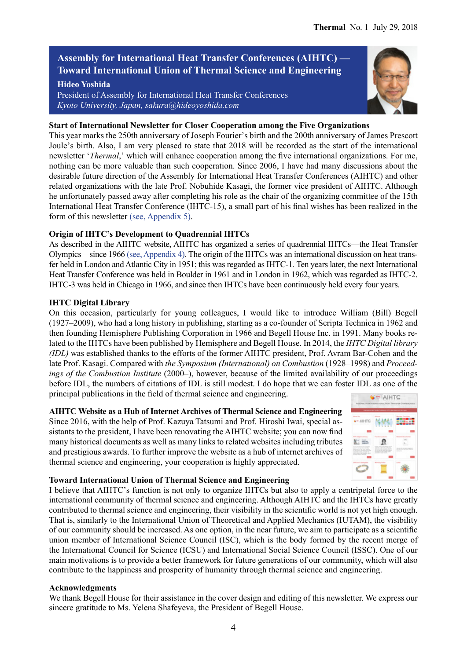## **Assembly for International Heat Transfer Conferences (AIHTC) — Toward International Union of Thermal Science and Engineering**

#### **Hideo Yoshida**

President of Assembly for International Heat Transfer Conferences *Kyoto University, Japan, sakura@hideoyoshida.com*

#### **Start of International Newsletter for Closer Cooperation among the Five Organizations**

This year marks the 250th anniversary of Joseph Fourier's birth and the 200th anniversary of James Prescott Joule's birth. Also, I am very pleased to state that 2018 will be recorded as the start of the international newsletter ʻ*Thermal*,' which will enhance cooperation among the five international organizations. For me, nothing can be more valuable than such cooperation. Since 2006, I have had many discussions about the desirable future direction of the Assembly for International Heat Transfer Conferences (AIHTC) and other related organizations with the late Prof. Nobuhide Kasagi, the former vice president of AIHTC. Although he unfortunately passed away after completing his role as the chair of the organizing committee of the 15th International Heat Transfer Conference (IHTC-15), a small part of his final wishes has been realized in the form of this newsletter (see, Appendix 5).

#### **Origin of IHTC's Development to Quadrennial IHTCs**

As described in the AIHTC website, AIHTC has organized a series of quadrennial IHTCs—the Heat Transfer Olympics—since 1966 (see, Appendix 4). The origin of the IHTCs was an international discussion on heat transfer held in London and Atlantic City in 1951; this was regarded as IHTC-1. Ten years later, the next International Heat Transfer Conference was held in Boulder in 1961 and in London in 1962, which was regarded as IHTC-2. IHTC-3 was held in Chicago in 1966, and since then IHTCs have been continuously held every four years.

#### **IHTC Digital Library**

On this occasion, particularly for young colleagues, I would like to introduce William (Bill) Begell (1927‒2009), who had a long history in publishing, starting as a co-founder of Scripta Technica in 1962 and then founding Hemisphere Publishing Corporation in 1966 and Begell House Inc. in 1991. Many books related to the IHTCs have been published by Hemisphere and Begell House. In 2014, the *IHTC Digital library (IDL)* was established thanks to the efforts of the former AIHTC president, Prof. Avram Bar-Cohen and the late Prof. Kasagi. Compared with the Symposium (International) on Combustion (1928-1998) and Proceed*ings of the Combustion Institute* (2000–), however, because of the limited availability of our proceedings before IDL, the numbers of citations of IDL is still modest. I do hope that we can foster IDL as one of the principal publications in the field of thermal science and engineering.

#### **AIHTC Website as a Hub of Internet Archives of Thermal Science and Engineering**

Since 2016, with the help of Prof. Kazuya Tatsumi and Prof. Hiroshi Iwai, special assistants to the president, I have been renovating the AIHTC website; you can now find many historical documents as well as many links to related websites including tributes and prestigious awards. To further improve the website as a hub of internet archives of thermal science and engineering, your cooperation is highly appreciated.



#### **Toward International Union of Thermal Science and Engineering**

I believe that AIHTC's function is not only to organize IHTCs but also to apply a centripetal force to the international community of thermal science and engineering. Although AIHTC and the IHTCs have greatly contributed to thermal science and engineering, their visibility in the scientific world is not yet high enough. That is, similarly to the International Union of Theoretical and Applied Mechanics (IUTAM), the visibility of our community should be increased. As one option, in the near future, we aim to participate as a scientific union member of International Science Council (ISC), which is the body formed by the recent merge of the International Council for Science (ICSU) and International Social Science Council (ISSC). One of our main motivations is to provide a better framework for future generations of our community, which will also contribute to the happiness and prosperity of humanity through thermal science and engineering.

#### **Acknowledgments**

We thank Begell House for their assistance in the cover design and editing of this newsletter. We express our sincere gratitude to Ms. Yelena Shafeyeva, the President of Begell House.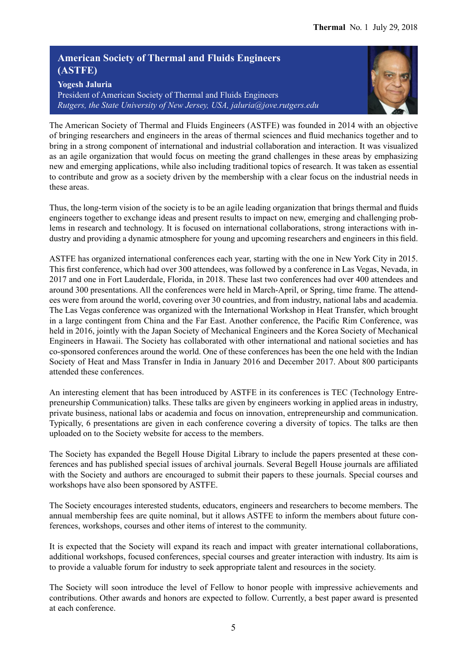## **American Society of Thermal and Fluids Engineers (ASTFE)**

**Yogesh Jaluria** President of American Society of Thermal and Fluids Engineers *Rutgers, the State University of New Jersey, USA, jaluria@jove.rutgers.edu*



The American Society of Thermal and Fluids Engineers (ASTFE) was founded in 2014 with an objective of bringing researchers and engineers in the areas of thermal sciences and fluid mechanics together and to bring in a strong component of international and industrial collaboration and interaction. It was visualized as an agile organization that would focus on meeting the grand challenges in these areas by emphasizing new and emerging applications, while also including traditional topics of research. It was taken as essential to contribute and grow as a society driven by the membership with a clear focus on the industrial needs in these areas.

Thus, the long-term vision of the society is to be an agile leading organization that brings thermal and fluids engineers together to exchange ideas and present results to impact on new, emerging and challenging problems in research and technology. It is focused on international collaborations, strong interactions with industry and providing a dynamic atmosphere for young and upcoming researchers and engineers in this field.

ASTFE has organized international conferences each year, starting with the one in New York City in 2015. This first conference, which had over 300 attendees, was followed by a conference in Las Vegas, Nevada, in 2017 and one in Fort Lauderdale, Florida, in 2018. These last two conferences had over 400 attendees and around 300 presentations. All the conferences were held in March-April, or Spring, time frame. The attendees were from around the world, covering over 30 countries, and from industry, national labs and academia. The Las Vegas conference was organized with the International Workshop in Heat Transfer, which brought in a large contingent from China and the Far East. Another conference, the Pacific Rim Conference, was held in 2016, jointly with the Japan Society of Mechanical Engineers and the Korea Society of Mechanical Engineers in Hawaii. The Society has collaborated with other international and national societies and has co-sponsored conferences around the world. One of these conferences has been the one held with the Indian Society of Heat and Mass Transfer in India in January 2016 and December 2017. About 800 participants attended these conferences.

An interesting element that has been introduced by ASTFE in its conferences is TEC (Technology Entrepreneurship Communication) talks. These talks are given by engineers working in applied areas in industry, private business, national labs or academia and focus on innovation, entrepreneurship and communication. Typically, 6 presentations are given in each conference covering a diversity of topics. The talks are then uploaded on to the Society website for access to the members.

The Society has expanded the Begell House Digital Library to include the papers presented at these conferences and has published special issues of archival journals. Several Begell House journals are affiliated with the Society and authors are encouraged to submit their papers to these journals. Special courses and workshops have also been sponsored by ASTFE.

The Society encourages interested students, educators, engineers and researchers to become members. The annual membership fees are quite nominal, but it allows ASTFE to inform the members about future conferences, workshops, courses and other items of interest to the community.

It is expected that the Society will expand its reach and impact with greater international collaborations, additional workshops, focused conferences, special courses and greater interaction with industry. Its aim is to provide a valuable forum for industry to seek appropriate talent and resources in the society.

The Society will soon introduce the level of Fellow to honor people with impressive achievements and contributions. Other awards and honors are expected to follow. Currently, a best paper award is presented at each conference.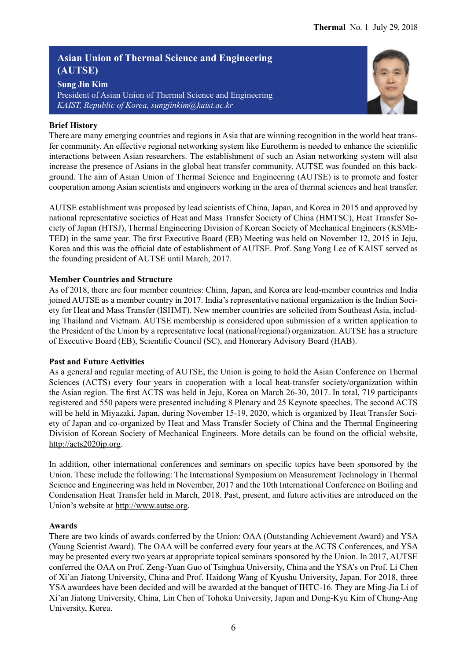## **Asian Union of Thermal Science and Engineering (AUTSE)**

**Sung Jin Kim** President of Asian Union of Thermal Science and Engineering *KAIST, Republic of Korea, sungjinkim@kaist.ac.kr*

#### **Brief History**

There are many emerging countries and regions in Asia that are winning recognition in the world heat transfer community. An effective regional networking system like Eurotherm is needed to enhance the scientific interactions between Asian researchers. The establishment of such an Asian networking system will also increase the presence of Asians in the global heat transfer community. AUTSE was founded on this background. The aim of Asian Union of Thermal Science and Engineering (AUTSE) is to promote and foster cooperation among Asian scientists and engineers working in the area of thermal sciences and heat transfer.

AUTSE establishment was proposed by lead scientists of China, Japan, and Korea in 2015 and approved by national representative societies of Heat and Mass Transfer Society of China (HMTSC), Heat Transfer Society of Japan (HTSJ), Thermal Engineering Division of Korean Society of Mechanical Engineers (KSME-TED) in the same year. The first Executive Board (EB) Meeting was held on November 12, 2015 in Jeju, Korea and this was the official date of establishment of AUTSE. Prof. Sang Yong Lee of KAIST served as the founding president of AUTSE until March, 2017.

#### **Member Countries and Structure**

As of 2018, there are four member countries: China, Japan, and Korea are lead-member countries and India joined AUTSE as a member country in 2017. India's representative national organization is the Indian Society for Heat and Mass Transfer (ISHMT). New member countries are solicited from Southeast Asia, including Thailand and Vietnam. AUTSE membership is considered upon submission of a written application to the President of the Union by a representative local (national/regional) organization. AUTSE has a structure of Executive Board (EB), Scientific Council (SC), and Honorary Advisory Board (HAB).

#### **Past and Future Activities**

As a general and regular meeting of AUTSE, the Union is going to hold the Asian Conference on Thermal Sciences (ACTS) every four years in cooperation with a local heat-transfer society/organization within the Asian region. The first ACTS was held in Jeju, Korea on March 26-30, 2017. In total, 719 participants registered and 550 papers were presented including 8 Plenary and 25 Keynote speeches. The second ACTS will be held in Miyazaki, Japan, during November 15-19, 2020, which is organized by Heat Transfer Society of Japan and co-organized by Heat and Mass Transfer Society of China and the Thermal Engineering Division of Korean Society of Mechanical Engineers. More details can be found on the official website, http://acts2020jp.org.

In addition, other international conferences and seminars on specific topics have been sponsored by the Union. These include the following: The International Symposium on Measurement Technology in Thermal Science and Engineering was held in November, 2017 and the 10th International Conference on Boiling and Condensation Heat Transfer held in March, 2018. Past, present, and future activities are introduced on the Union's website at http://www.autse.org.

#### **Awards**

There are two kinds of awards conferred by the Union: OAA (Outstanding Achievement Award) and YSA (Young Scientist Award). The OAA will be conferred every four years at the ACTS Conferences, and YSA may be presented every two years at appropriate topical seminars sponsored by the Union. In 2017, AUTSE conferred the OAA on Prof. Zeng-Yuan Guo of Tsinghua University, China and the YSA's on Prof. Li Chen of Xi'an Jiatong University, China and Prof. Haidong Wang of Kyushu University, Japan. For 2018, three YSA awardees have been decided and will be awarded at the banquet of IHTC-16. They are Ming-Jia Li of Xi'an Jiatong University, China, Lin Chen of Tohoku University, Japan and Dong-Kyu Kim of Chung-Ang University, Korea.

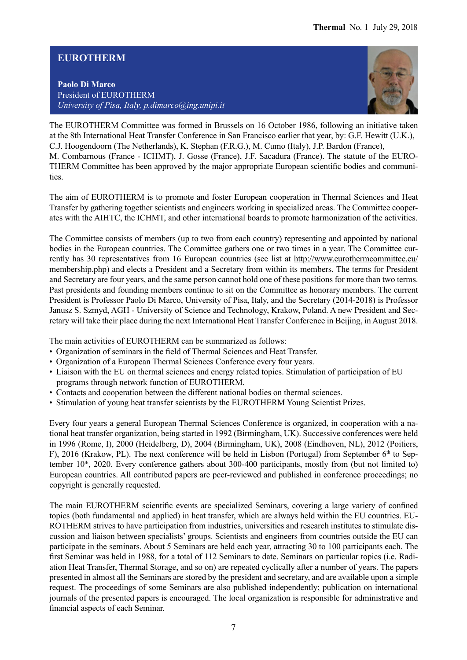## **EUROTHERM**

**Paolo Di Marco** President of EUROTHERM *University of Pisa, Italy, p.dimarco@ing.unipi.it*



The EUROTHERM Committee was formed in Brussels on 16 October 1986, following an initiative taken at the 8th International Heat Transfer Conference in San Francisco earlier that year, by: G.F. Hewitt (U.K.), C.J. Hoogendoorn (The Netherlands), K. Stephan (F.R.G.), M. Cumo (Italy), J.P. Bardon (France), M. Combarnous (France - ICHMT), J. Gosse (France), J.F. Sacadura (France). The statute of the EURO-THERM Committee has been approved by the major appropriate European scientific bodies and communities.

The aim of EUROTHERM is to promote and foster European cooperation in Thermal Sciences and Heat Transfer by gathering together scientists and engineers working in specialized areas. The Committee cooperates with the AIHTC, the ICHMT, and other international boards to promote harmonization of the activities.

The Committee consists of members (up to two from each country) representing and appointed by national bodies in the European countries. The Committee gathers one or two times in a year. The Committee currently has 30 representatives from 16 European countries (see list at http://www.eurothermcommittee.eu/ membership.php) and elects a President and a Secretary from within its members. The terms for President and Secretary are four years, and the same person cannot hold one of these positions for more than two terms. Past presidents and founding members continue to sit on the Committee as honorary members. The current President is Professor Paolo Di Marco, University of Pisa, Italy, and the Secretary (2014-2018) is Professor Janusz S. Szmyd, AGH - University of Science and Technology, Krakow, Poland. A new President and Secretary will take their place during the next International Heat Transfer Conference in Beijing, in August 2018.

The main activities of EUROTHERM can be summarized as follows:

- Organization of seminars in the field of Thermal Sciences and Heat Transfer.
- Organization of a European Thermal Sciences Conference every four years.
- Liaison with the EU on thermal sciences and energy related topics. Stimulation of participation of EU programs through network function of EUROTHERM.
- Contacts and cooperation between the different national bodies on thermal sciences.
- Stimulation of young heat transfer scientists by the EUROTHERM Young Scientist Prizes.

Every four years a general European Thermal Sciences Conference is organized, in cooperation with a national heat transfer organization, being started in 1992 (Birmingham, UK). Successive conferences were held in 1996 (Rome, I), 2000 (Heidelberg, D), 2004 (Birmingham, UK), 2008 (Eindhoven, NL), 2012 (Poitiers, F), 2016 (Krakow, PL). The next conference will be held in Lisbon (Portugal) from September  $6<sup>th</sup>$  to September 10<sup>th</sup>, 2020. Every conference gathers about 300-400 participants, mostly from (but not limited to) European countries. All contributed papers are peer-reviewed and published in conference proceedings; no copyright is generally requested.

The main EUROTHERM scientific events are specialized Seminars, covering a large variety of confined topics (both fundamental and applied) in heat transfer, which are always held within the EU countries. EU-ROTHERM strives to have participation from industries, universities and research institutes to stimulate discussion and liaison between specialists' groups. Scientists and engineers from countries outside the EU can participate in the seminars. About 5 Seminars are held each year, attracting 30 to 100 participants each. The first Seminar was held in 1988, for a total of 112 Seminars to date. Seminars on particular topics (i.e. Radiation Heat Transfer, Thermal Storage, and so on) are repeated cyclically after a number of years. The papers presented in almost all the Seminars are stored by the president and secretary, and are available upon a simple request. The proceedings of some Seminars are also published independently; publication on international journals of the presented papers is encouraged. The local organization is responsible for administrative and financial aspects of each Seminar.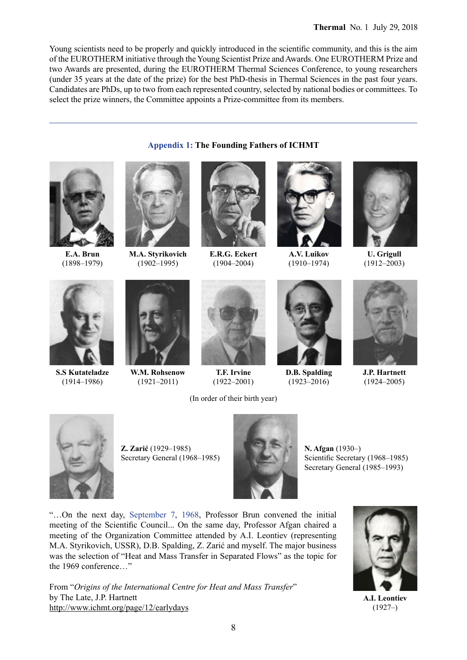Young scientists need to be properly and quickly introduced in the scientific community, and this is the aim of the EUROTHERM initiative through the Young Scientist Prize and Awards. One EUROTHERM Prize and two Awards are presented, during the EUROTHERM Thermal Sciences Conference, to young researchers (under 35 years at the date of the prize) for the best PhD-thesis in Thermal Sciences in the past four years. Candidates are PhDs, up to two from each represented country, selected by national bodies or committees. To select the prize winners, the Committee appoints a Prize-committee from its members.

**Appendix 1: The Founding Fathers of ICHMT**



**E.A. Brun** (1898–1979)



**M.A. Styrikovich** (1902–1995)



**E.R.G. Eckert** (1904–2004)



**A.V. Luikov** (1910–1974)



**U. Grigull** (1912–2003)



**S.S Kutateladze** (1914–1986)



**W.M. Rohsenow** (1921–2011)



**T.F. Irvine** (1922–2001)

(In order of their birth year)



**D.B. Spalding**  $(1923 - 2016)$ 



**J.P. Hartnett** (1924–2005)



**Z. Zarić** (1929–1985) Secretary General (1968–1985)



**N. Afgan** (1930–) Scientific Secretary (1968–1985) Secretary General (1985–1993)

"…On the next day, September 7, 1968, Professor Brun convened the initial meeting of the Scientific Council... On the same day, Professor Afgan chaired a meeting of the Organization Committee attended by A.I. Leontiev (representing M.A. Styrikovich, USSR), D.B. Spalding, Z. Zarić and myself. The major business was the selection of "Heat and Mass Transfer in Separated Flows" as the topic for the 1969 conference…"

From "*Origins of the International Centre for Heat and Mass Transfer*" by The Late, J.P. Hartnett http://www.ichmt.org/page/12/earlydays



**A.I. Leontiev**  (1927–)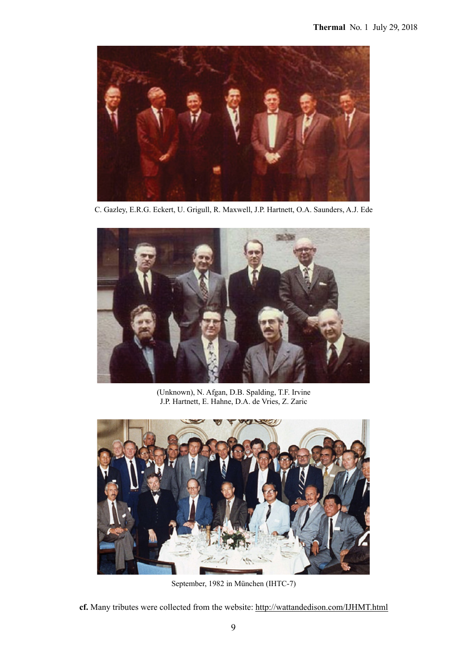

C. Gazley, E.R.G. Eckert, U. Grigull, R. Maxwell, J.P. Hartnett, O.A. Saunders, A.J. Ede



(Unknown), N. Afgan, D.B. Spalding, T.F. Irvine J.P. Hartnett, E. Hahne, D.A. de Vries, Z. Zaric



September, 1982 in München (IHTC-7)

**cf.** Many tributes were collected from the website: http://wattandedison.com/IJHMT.html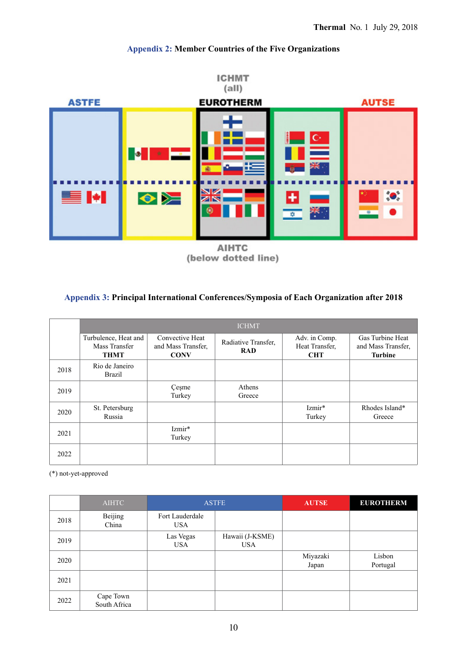

## **Appendix 2: Member Countries of the Five Organizations**

(below dotted line)

#### **Appendix 3: Principal International Conferences/Symposia of Each Organization after 2018**

|      | <b>ICHMT</b>                                         |                                                      |                                   |                                               |                                                          |  |  |
|------|------------------------------------------------------|------------------------------------------------------|-----------------------------------|-----------------------------------------------|----------------------------------------------------------|--|--|
|      | Turbulence, Heat and<br>Mass Transfer<br><b>THMT</b> | Convective Heat<br>and Mass Transfer.<br><b>CONV</b> | Radiative Transfer,<br><b>RAD</b> | Adv. in Comp.<br>Heat Transfer.<br><b>CHT</b> | Gas Turbine Heat<br>and Mass Transfer.<br><b>Turbine</b> |  |  |
| 2018 | Rio de Janeiro<br><b>Brazil</b>                      |                                                      |                                   |                                               |                                                          |  |  |
| 2019 |                                                      | Cesme<br>Turkey                                      | Athens<br>Greece                  |                                               |                                                          |  |  |
| 2020 | St. Petersburg<br>Russia                             |                                                      |                                   | Izmir*<br>Turkey                              | Rhodes Island*<br>Greece                                 |  |  |
| 2021 |                                                      | Izmir*<br>Turkey                                     |                                   |                                               |                                                          |  |  |
| 2022 |                                                      |                                                      |                                   |                                               |                                                          |  |  |

(\*) not-yet-approved

|      | <b>AIHTC</b>              |                               | <b>ASTFE</b>                  | <b>AUTSE</b>      | <b>EUROTHERM</b>   |  |
|------|---------------------------|-------------------------------|-------------------------------|-------------------|--------------------|--|
| 2018 | Beijing<br>China          | Fort Lauderdale<br><b>USA</b> |                               |                   |                    |  |
| 2019 |                           | Las Vegas<br><b>USA</b>       | Hawaii (J-KSME)<br><b>USA</b> |                   |                    |  |
| 2020 |                           |                               |                               | Miyazaki<br>Japan | Lisbon<br>Portugal |  |
| 2021 |                           |                               |                               |                   |                    |  |
| 2022 | Cape Town<br>South Africa |                               |                               |                   |                    |  |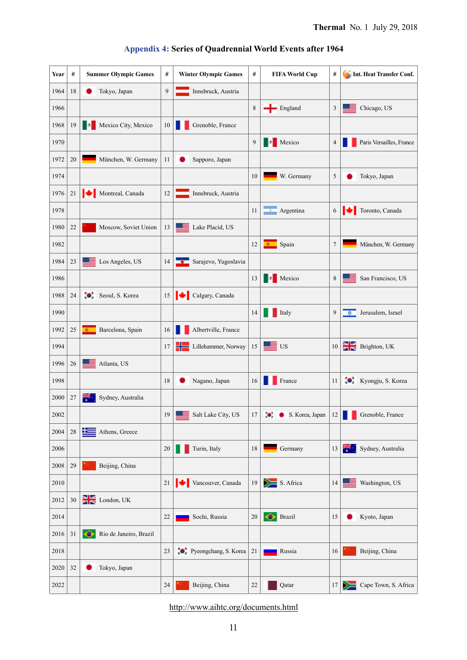| Year | $\#$        | <b>Summer Olympic Games</b>         | #              | <b>Winter Olympic Games</b> | $\#$ | <b>FIFA World Cup</b> | $\#$ | Int. Heat Transfer Conf.                |
|------|-------------|-------------------------------------|----------------|-----------------------------|------|-----------------------|------|-----------------------------------------|
| 1964 | 18          | Tokyo, Japan                        | $\overline{9}$ | Innsbruck, Austria          |      |                       |      |                                         |
| 1966 |             |                                     |                |                             | 8    | $\leftarrow$ England  | 3    | Chicago, US                             |
| 1968 | 19          | Mexico City, Mexico                 | 10             | Grenoble, France            |      |                       |      |                                         |
| 1970 |             |                                     |                |                             | 9    | Mexico<br>в           | 4    | Paris Versailles, France                |
| 1972 | 20          | München, W. Germany                 | 11             | Sapporo, Japan              |      |                       |      |                                         |
| 1974 |             |                                     |                |                             | 10   | W. Germany            | 5    | Tokyo, Japan                            |
| 1976 | 21          | Montreal, Canada                    | 12             | Innsbruck, Austria          |      |                       |      |                                         |
| 1978 |             |                                     |                |                             | 11   | <b>Argentina</b>      | 6    | Toronto, Canada                         |
| 1980 | 22          | Moscow, Soviet Union                | 13             | Lake Placid, US             |      |                       |      |                                         |
| 1982 |             |                                     |                |                             | 12   | Spain<br><b>B</b> 1   | 7    | München, W. Germany                     |
| 1984 | 23          | Los Angeles, US<br>ᆖ                | 14             | Sarajevo, Yugoslavia        |      |                       |      |                                         |
| 1986 |             |                                     |                |                             | 13   | Mexico<br>п           | 8    | San Francisco, US                       |
| 1988 | 24          | Seoul, S. Korea                     | 15             | Calgary, Canada             |      |                       |      |                                         |
| 1990 |             |                                     |                |                             | 14   | Italy                 | 9    | Jerusalem, Israel<br>≎                  |
| 1992 | 25          | Barcelona, Spain<br>$\mathbf{E}$    | 16             | Albertville, France         |      |                       |      |                                         |
| 1994 |             |                                     | 17             | ╬<br>Lillehammer, Norway    | 15   | $\blacksquare$ US     | 10   | $\frac{1}{\sqrt{2}}$ Brighton, UK       |
| 1996 | 26          | Atlanta, US                         |                |                             |      |                       |      |                                         |
| 1998 |             |                                     | 18             | Nagano, Japan               | 16   | France                | 11   | Kyongju, S. Korea                       |
| 2000 | 27          | Sydney, Australia                   |                |                             |      |                       |      |                                         |
| 2002 |             |                                     | 19             | Salt Lake City, US          | 17   | S. Korea, Japan       |      | $12$ $\blacksquare$<br>Grenoble, France |
| 2004 | $28\,$      | Athens, Greece                      |                |                             |      |                       |      |                                         |
| 2006 |             |                                     | 20             | Turin, Italy                | 18   | Germany               | 13   | م <del>جرّد</del><br>Sydney, Australia  |
| 2008 | 29          | Beijing, China                      |                |                             |      |                       |      |                                         |
| 2010 |             |                                     | 21             | Vancouver, Canada           | 19   | $S.$ Africa           | 14   | Washington, US                          |
| 2012 | $30\,$      | $\sum$ London, UK                   |                |                             |      |                       |      |                                         |
| 2014 |             |                                     | 22             | Sochi, Russia               | 20   | $\bullet$<br>Brazil   | 15   | Kyoto, Japan                            |
| 2016 | $3\sqrt{1}$ | Rio de Janeiro, Brazil<br>$\bullet$ |                |                             |      |                       |      |                                         |
| 2018 |             |                                     | 23             | Pyeongchang, S. Korea       | 21   | Russia                | 16   | Beijing, China                          |
| 2020 | 32          | Tokyo, Japan                        |                |                             |      |                       |      |                                         |
| 2022 |             |                                     | 24             | Beijing, China              | 22   | Qatar                 | 17   | Cape Town, S. Africa                    |

# **Appendix 4: Series of Quadrennial World Events after 1964**

http://www.aihtc.org/documents.html